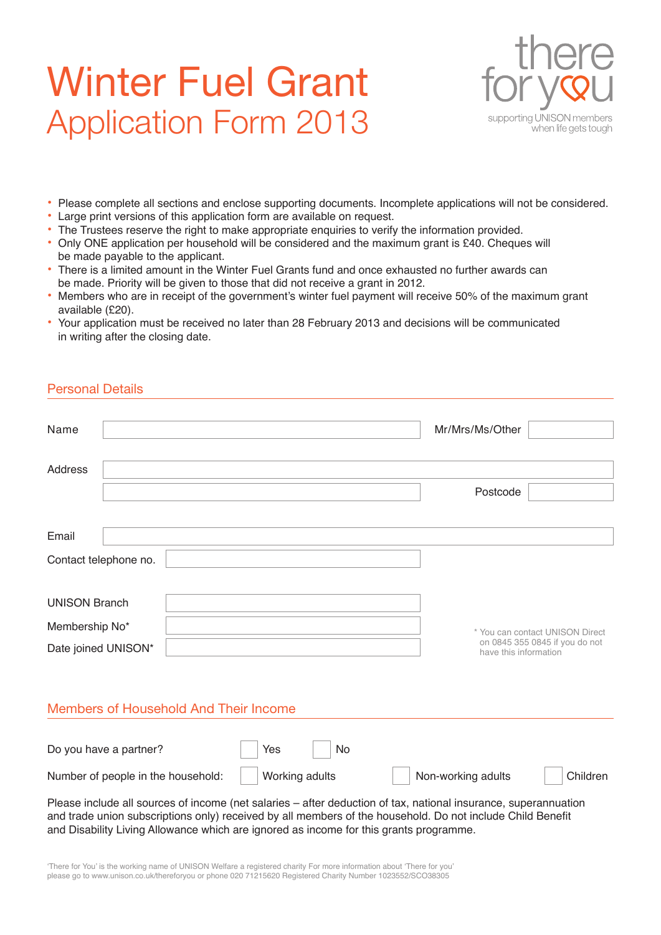# Winter Fuel Grant Application Form 2013



- Please complete all sections and enclose supporting documents. Incomplete applications will not be considered.
- Large print versions of this application form are available on request.
- The Trustees reserve the right to make appropriate enquiries to verify the information provided.
- Only ONE application per household will be considered and the maximum grant is £40. Cheques will be made payable to the applicant.
- There is a limited amount in the Winter Fuel Grants fund and once exhausted no further awards can be made. Priority will be given to those that did not receive a grant in 2012.
- Members who are in receipt of the government's winter fuel payment will receive 50% of the maximum grant available (£20).
- Your application must be received no later than 28 February 2013 and decisions will be communicated in writing after the closing date.

#### Personal Details

| Name                                                                                                            | Mr/Mrs/Ms/Other                                         |  |  |  |
|-----------------------------------------------------------------------------------------------------------------|---------------------------------------------------------|--|--|--|
| Address                                                                                                         | Postcode                                                |  |  |  |
| Email                                                                                                           |                                                         |  |  |  |
| Contact telephone no.                                                                                           |                                                         |  |  |  |
| <b>UNISON Branch</b><br>Membership No*<br>* You can contact UNISON Direct                                       |                                                         |  |  |  |
| Date joined UNISON*                                                                                             | on 0845 355 0845 if you do not<br>have this information |  |  |  |
| Members of Household And Their Income                                                                           |                                                         |  |  |  |
| Do you have a partner?<br>Yes                                                                                   | No                                                      |  |  |  |
| Working adults<br>Non-working adults<br>Children<br>Number of people in the household:                          |                                                         |  |  |  |
| Please include all sources of income (net salaries – after deduction of tax, national insurance, superannuation |                                                         |  |  |  |

Please include all sources of income (net salaries – after deduction of tax, national insurance, superannuation and trade union subscriptions only) received by all members of the household. Do not include Child Benefit and Disability Living Allowance which are ignored as income for this grants programme.

'There for You' is the working name of UNISON Welfare a registered charity For more information about 'There for you' please go to www.unison.co.uk/thereforyou or phone 020 71215620 Registered Charity Number 1023552/SCO38305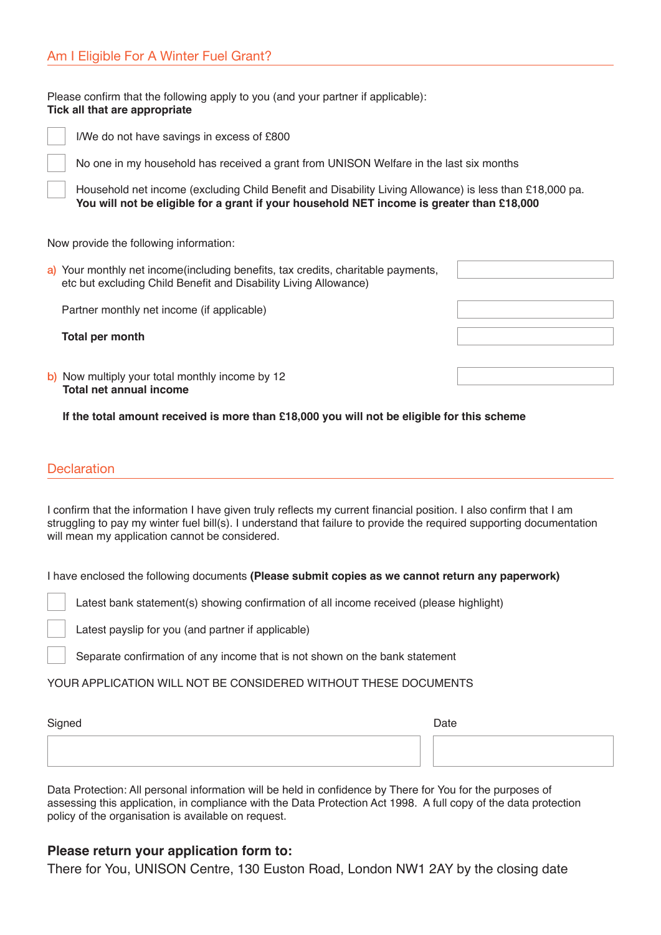Please confirm that the following apply to you (and your partner if applicable): **Tick all that are appropriate**



I/We do not have savings in excess of £800

No one in my household has received a grant from UNISON Welfare in the last six months

Household net income (excluding Child Benefit and Disability Living Allowance) is less than £18,000 pa. **You will not be eligible for a grant if your household NET income is greater than £18,000**

Now provide the following information:

a) Your monthly net income(including benefits, tax credits, charitable payments, etc but excluding Child Benefit and Disability Living Allowance)

Partner monthly net income (if applicable)

**Total per month**

b) Now multiply your total monthly income by 12 **Total net annual income**

**If the total amount received is more than £18,000 you will not be eligible for this scheme**

#### **Declaration**

I confirm that the information I have given truly reflects my current financial position. I also confirm that I am struggling to pay my winter fuel bill(s). I understand that failure to provide the required supporting documentation will mean my application cannot be considered.

I have enclosed the following documents **(Please submit copies as we cannot return any paperwork)**

Latest bank statement(s) showing confirmation of all income received (please highlight)

Latest payslip for you (and partner if applicable)

 Separate confirmation of any income that is not shown on the bank statement

YOUR APPLICATION WILL NOT BE CONSIDERED WITHOUT THESE DOCUMENTS

| Signed | Date |
|--------|------|
|        |      |
|        |      |

Data Protection: All personal information will be held in confidence by There for You for the purposes of assessing this application, in compliance with the Data Protection Act 1998. A full copy of the data protection policy of the organisation is available on request.

#### **Please return your application form to:**

There for You, UNISON Centre, 130 Euston Road, London NW1 2AY by the closing date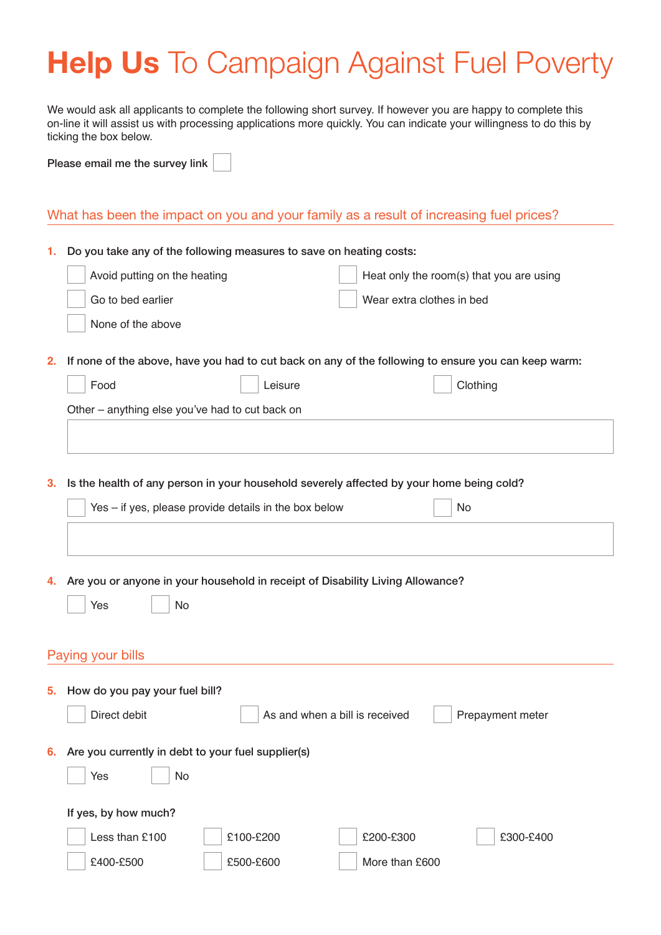## **Help Us** To Campaign Against Fuel Poverty

We would ask all applicants to complete the following short survey. If however you are happy to complete this on-line it will assist us with processing applications more quickly. You can indicate your willingness to do this by ticking the box below.

Please email me the survey link

### What has been the impact on you and your family as a result of increasing fuel prices?

| 1. | Do you take any of the following measures to save on heating costs:                                 |                                          |  |
|----|-----------------------------------------------------------------------------------------------------|------------------------------------------|--|
|    | Avoid putting on the heating                                                                        | Heat only the room(s) that you are using |  |
|    | Go to bed earlier<br>Wear extra clothes in bed                                                      |                                          |  |
|    | None of the above                                                                                   |                                          |  |
|    |                                                                                                     |                                          |  |
| 2. | If none of the above, have you had to cut back on any of the following to ensure you can keep warm: |                                          |  |
|    | Food<br>Leisure                                                                                     | Clothing                                 |  |
|    | Other – anything else you've had to cut back on                                                     |                                          |  |
|    |                                                                                                     |                                          |  |
|    |                                                                                                     |                                          |  |
| 3. | Is the health of any person in your household severely affected by your home being cold?            |                                          |  |
|    | Yes - if yes, please provide details in the box below                                               | <b>No</b>                                |  |
|    |                                                                                                     |                                          |  |
|    |                                                                                                     |                                          |  |
|    |                                                                                                     |                                          |  |
|    | Are you or anyone in your household in receipt of Disability Living Allowance?<br>4.                |                                          |  |
|    | No<br>Yes                                                                                           |                                          |  |
|    |                                                                                                     |                                          |  |
|    | Paying your bills                                                                                   |                                          |  |
|    |                                                                                                     |                                          |  |
| 5. | How do you pay your fuel bill?                                                                      |                                          |  |
|    | Direct debit<br>As and when a bill is received                                                      | Prepayment meter                         |  |
|    | Are you currently in debt to your fuel supplier(s)<br>6.                                            |                                          |  |
|    |                                                                                                     |                                          |  |
|    | No<br>Yes                                                                                           |                                          |  |
|    | If yes, by how much?                                                                                |                                          |  |
|    | Less than £100<br>£100-£200<br>£200-£300                                                            | £300-£400                                |  |
|    | £400-£500<br>£500-£600<br>More than £600                                                            |                                          |  |
|    |                                                                                                     |                                          |  |